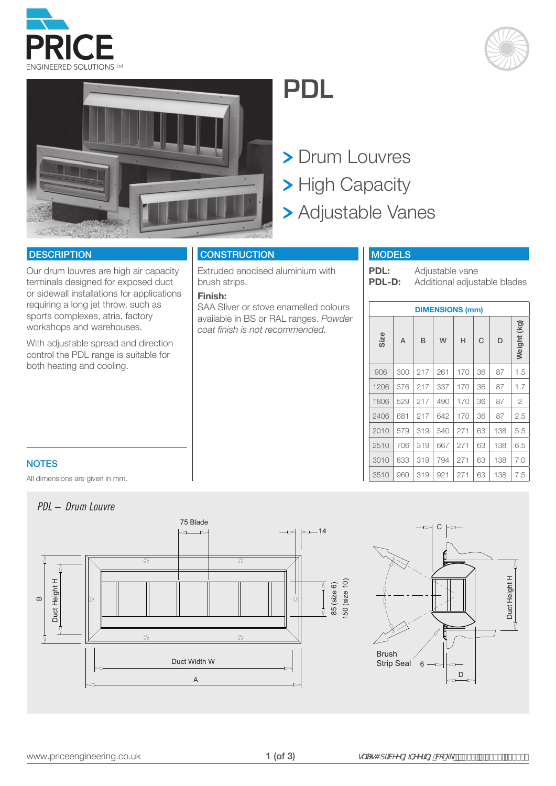





# **PDL**

> Drum Louvres > High Capacity Adjustable Vanes

### **DESCRIPTION**

Our drum louvres are high air capacity terminals designed for exposed duct or sidewall installations for applications requiring a long jet throw, such as sports complexes, atria, factory workshops and warehouses.

With adjustable spread and direction control the PDL range is suitable for both heating and cooling.

# **CONSTRUCTION**

Extruded anodised aluminium with brush strips.

#### **Finish:**

SAA Sliver or stove enamelled colours available in BS or RAL ranges. *Powder coat finish is not recommended.*

# MODELS

**PDL:** Adjustable vane<br>**PDL-D:** Additional adjust Additional adjustable blades

| <b>DIMENSIONS (mm)</b> |     |     |     |     |    |     |                |  |  |  |  |  |  |  |
|------------------------|-----|-----|-----|-----|----|-----|----------------|--|--|--|--|--|--|--|
| Size                   | A   | B   | W   | Н   | C  | D   | Weight (kg)    |  |  |  |  |  |  |  |
| 906                    | 300 | 217 | 261 | 170 | 36 | 87  | 1.5            |  |  |  |  |  |  |  |
| 1206                   | 376 | 217 | 337 | 170 | 36 | 87  | 1.7            |  |  |  |  |  |  |  |
| 1806                   | 529 | 217 | 490 | 170 | 36 | 87  | $\overline{2}$ |  |  |  |  |  |  |  |
| 2406                   | 681 | 217 | 642 | 170 | 36 | 87  | 2.5            |  |  |  |  |  |  |  |
| 2010                   | 579 | 319 | 540 | 271 | 63 | 138 | 5.5            |  |  |  |  |  |  |  |
| 2510                   | 706 | 319 | 667 | 271 | 63 | 138 | 6.5            |  |  |  |  |  |  |  |
| 3010                   | 833 | 319 | 794 | 271 | 63 | 138 | 7.0            |  |  |  |  |  |  |  |
| 3510                   | 960 | 319 | 921 | 271 | 63 | 138 | 7.5            |  |  |  |  |  |  |  |

## **NOTES**

All dimensions are given in mm.

# *PDL – Drum Louvre*



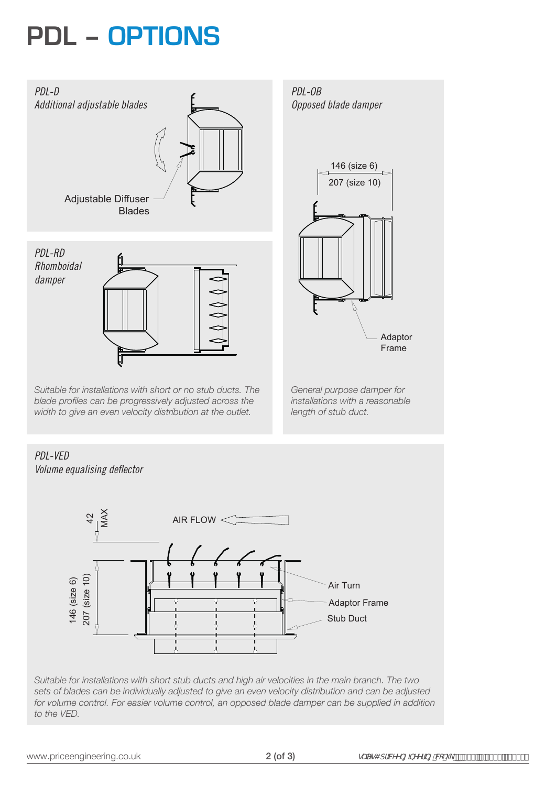# **PDL – OPTIONS**



*Suitable for installations with short or no stub ducts. The blade profiles can be progressively adjusted across the width to give an even velocity distribution at the outlet.*

*Opposed blade damper*



*General purpose damper for installations with a reasonable length of stub duct.*

#### *PDL-VED Volume equalising deflector* MAX  $42$ AIR FLOW  $\leq$ 207 (size 10) 42 207 (size 10) 146 (size 6) 146 (size 6) Air Turn Adaptor Frame  $\vert$ Stub Duct 8  $\langle$ 풍  $\frac{1}{11}$  $\frac{1}{11}$  $\mu$ Jl

*Suitable for installations with short stub ducts and high air velocities in the main branch. The two sets of blades can be individually adjusted to give an even velocity distribution and can be adjusted for volume control. For easier volume control, an opposed blade damper can be supplied in addition to the VED.*